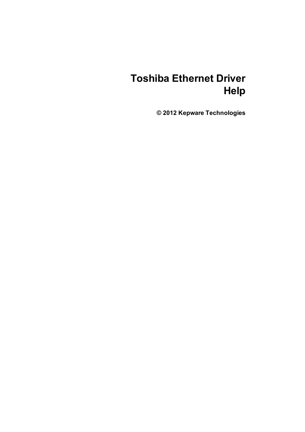# **Toshiba Ethernet Driver Help**

**© 2012 Kepware Technologies**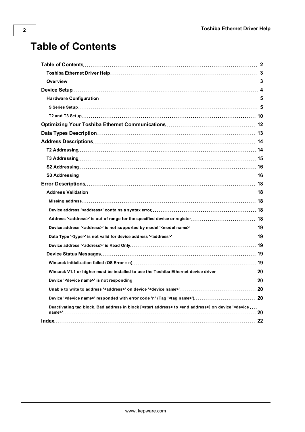## <span id="page-1-0"></span>**Table of Contents**

| Winsock V1.1 or higher must be installed to use the Toshiba Ethernet device driver 20                                                                 |  |
|-------------------------------------------------------------------------------------------------------------------------------------------------------|--|
|                                                                                                                                                       |  |
|                                                                                                                                                       |  |
|                                                                                                                                                       |  |
| Deactivating tag block. Bad address in block [ <start address=""> to <end address="">] on device '<device <="" td=""><td></td></device></end></start> |  |
|                                                                                                                                                       |  |
|                                                                                                                                                       |  |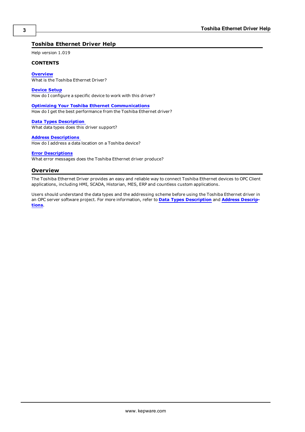#### <span id="page-2-0"></span>**Toshiba Ethernet Driver Help**

Help version 1.019

#### **CONTENTS**

**[Overview](#page-2-1)**

What is the Toshiba Ethernet Driver?

**[Device](#page-3-0) [Setup](#page-3-0)**

How do I configure a specific device to work with this driver?

**[Optimizing](#page-11-0) [Your](#page-11-0) [Toshiba](#page-11-0) [Ethernet](#page-11-0) [Communications](#page-11-0)**

How do I get the best performance from the Toshiba Ethernet driver?

**[Data](#page-12-0) [Types](#page-12-0) [Description](#page-12-0)** What data types does this driver support?

#### **[Address](#page-13-0) [Descriptions](#page-13-0)**

How do I address a data location on a Toshiba device?

#### **[Error](#page-17-0) [Descriptions](#page-17-0)**

<span id="page-2-1"></span>What error messages does the Toshiba Ethernet driver produce?

#### **Overview**

The Toshiba Ethernet Driver provides an easy and reliable way to connect Toshiba Ethernet devices to OPC Client applications, including HMI, SCADA, Historian, MES, ERP and countless custom applications.

Users should understand the data types and the addressing scheme before using the Toshiba Ethernet driver in an OPC server software project. For more information, refer to **[Data](#page-12-0) [Types](#page-12-0) [Description](#page-12-0)** and **[Address](#page-13-0) [Descrip](#page-13-0)[tions](#page-13-0)**.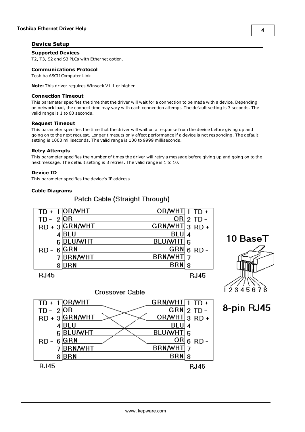#### <span id="page-3-0"></span>**Device Setup**

#### **Supported Devices**

<span id="page-3-2"></span>T2, T3, S2 and S3 PLCs with Ethernet option.

#### **Communications Protocol**

Toshiba ASCII Computer Link

**Note:** This driver requires Winsock V1.1 or higher.

#### **Connection Timeout**

This parameter specifies the time that the driver will wait for a connection to be made with a device. Depending on network load, the connect time may vary with each connection attempt. The default setting is 3 seconds. The valid range is 1 to 60 seconds.

#### **Request Timeout**

This parameter specifies the time that the driver will wait on a response from the device before giving up and going on to the next request. Longer timeouts only affect performance if a device is not responding. The default setting is 1000 milliseconds. The valid range is 100 to 9999 milliseconds.

#### **Retry Attempts**

This parameter specifies the number of times the driver will retry a message before giving up and going on to the next message. The default setting is 3 retries. The valid range is 1 to 10.

#### <span id="page-3-1"></span>**Device ID**

This parameter specifies the device's IP address.

#### **Cable Diagrams**



Patch Cable (Straight Through)

**R.145** 





8-pin RJ45



## **Crossover Cable**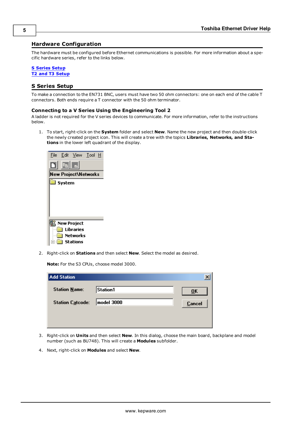#### <span id="page-4-0"></span>**Hardware Configuration**

The hardware must be configured before Ethernet communications is possible. For more information about a specific hardware series, refer to the links below.

## **[S](#page-4-1) [Series](#page-4-1) [Setup](#page-4-1)**

<span id="page-4-1"></span>**[T2](#page-9-0) [and](#page-9-0) [T3](#page-9-0) [Setup](#page-9-0)**

#### **S Series Setup**

To make a connection to the EN731 BNC, users must have two 50 ohm connectors: one on each end of the cable T connectors. Both ends require a T connector with the 50 ohm terminator.

#### **Connecting to a V Series Using the Engineering Tool 2**

A ladder is not required for the V series devices to communicate. For more information, refer to the instructions below.

1. To start, right-click on the **System** folder and select **New**. Name the new project and then double-click the newly created project icon. This will create a tree with the topics **Libraries, Networks, and Stations** in the lower left quadrant of the display.

|        | File Edit View Tool H |  |
|--------|-----------------------|--|
| Ē⊫     |                       |  |
|        | New Project\Networks  |  |
| System |                       |  |
|        |                       |  |
|        |                       |  |
|        |                       |  |
|        |                       |  |
|        | New Project           |  |
|        | Libraries             |  |
|        | Networks              |  |
|        | Stations              |  |

2. Right-click on **Stations** and then select **New**. Select the model as desired.

**Note:** For the S3 CPUs, choose model 3000.

| <b>Add Station</b>      |            | ×                         |
|-------------------------|------------|---------------------------|
| Station Mame:           | Station1   | $\overline{\mathbf{0}}$ K |
| <b>Station Catcode:</b> | model 3000 | <b>Cancel</b>             |
|                         |            |                           |
|                         |            |                           |

- 3. Right-click on **Units** and then select **New**. In this dialog, choose the main board, backplane and model number (such as BU748). This will create a **Modules** subfolder.
- 4. Next, right-click on **Modules** and select **New**.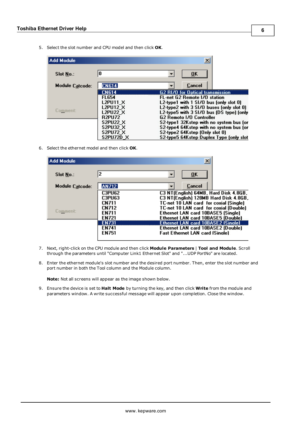5. Select the slot number and CPU model and then click **OK**.

| Add Module       |                  | ×                                        |
|------------------|------------------|------------------------------------------|
| <b>Slot No.:</b> | 0                | ŪK                                       |
| Module Catcode:  | <b>CN614</b>     | Cancel                                   |
|                  | <b>CN614</b>     | G2 RI/O for Optical transmission         |
|                  | <b>FL654</b>     | FL-net G2 Remote 1/0 station             |
|                  | L2PU11_X         | L2-type1 with $1$ SI/O bus (only slot 0) |
|                  | l2pu12 x         | L2-type2 with 3 SI/O buses (only slot 0) |
| Comment:         | L2PU22 X         | L2-type5 with 3 SI/O bus (DS type) (only |
|                  | <b>R2PU72</b>    | G2 Remoto 1/0 Controller                 |
|                  | <b>S2PU22 X</b>  | S2-type1 32Kstep with no system bus for  |
|                  | <b>S2PU32 X</b>  | S2-type4 64Kstep with no system bus for  |
|                  | <b>S2PU72 X</b>  | S2-type2 64Kstep (Only slot 0)           |
|                  | <b>S2PU72D X</b> | S2-tupe5 64Kstep Duplex Tupe fonly slot  |

6. Select the ethernet model and then click **OK**.

| <b>Add Module</b> |               | ×                                         |
|-------------------|---------------|-------------------------------------------|
| <b>Slot No.:</b>  | 12            | 0 <sub>K</sub>                            |
| Module Catcode:   | <b>AN712</b>  | Cancel                                    |
|                   | C3PU62        | C3 NT(English) 64MB, Hard Disk 4.8GB,     |
|                   | <b>C3PU63</b> | C3 NT(English) 128MB Hard Disk 4.8GB,     |
|                   | <b>CN711</b>  | TC-net 10 LAN card for coxial (Single)    |
|                   | <b>CN712</b>  | TC-net 10 LAN card for coxial (Double)    |
| Comment:          | <b>FN711</b>  | Ethernet LAN card 10BASE5 (Single)        |
|                   | <b>EN721</b>  | Ethernet LAN card 10BASE5 (Double)        |
|                   | <b>EN731</b>  | <b>Ethernet LAN card 10BASE2 (Single)</b> |
|                   | <b>EN741</b>  | Ethernet LAN card 10BASE2 (Double)        |
|                   | <b>EN751</b>  | <b>Fast Ethernet LAN card (Single)</b>    |

- 7. Next, right-click on the CPU module and then click **Module Parameters** | **Tool and Module**. Scroll through the parameters until "Computer Link1 Ethernet Slot" and "...UDP PortNo" are located.
- 8. Enter the ethernet module's slot number and the desired port number. Then, enter the slot number and port number in both the Tool column and the Module column.

**Note:** Not all screens will appear as the image shown below.

9. Ensure the device is set to **Halt Mode** by turning the key, and then click **Write** from the module and parameters window. A write successful message will appear upon completion. Close the window.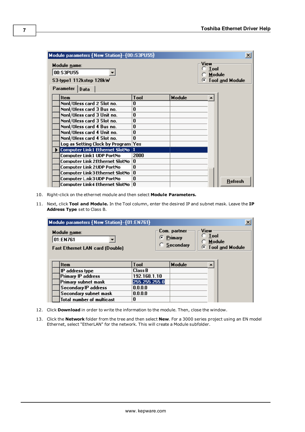| Module parameters {New Station}-{00:S3PU55}                               |          |               | $\vert x \vert$                                              |
|---------------------------------------------------------------------------|----------|---------------|--------------------------------------------------------------|
| Module name:<br>00:S3PU55<br>S3-type1 112kstep 128kW<br>Parameter<br>Data |          |               | View<br><b>Tool</b><br>Module<br><b>Tool and Module</b><br>G |
| <b>Item</b>                                                               | Tool     | <b>Module</b> |                                                              |
| Nonl/Oless card 2 Slot no.                                                | 0        |               |                                                              |
| Nonl/Oless card 3 Bus no.                                                 | $\bf{0}$ |               |                                                              |
| Nonl/Oless card 3 Unit no.                                                | 0        |               |                                                              |
| Nonl/Oless card 3 Slot no.                                                | 0        |               |                                                              |
| Nonl/Oless card 4 Bus no.                                                 | 0        |               |                                                              |
| Nonl/Oless card 4 Unit no.                                                | 0        |               |                                                              |
| Nonl/Oless card 4 Slot no.                                                | n        |               |                                                              |
| Log as Setting Clock by Program Yes                                       |          |               |                                                              |
| Computer Link1 Ethernet SlotNo  1                                         |          |               |                                                              |
| <b>Computer Link1 UDP PortNo</b>                                          | 2000     |               |                                                              |
| <b>Computer Link 2Ethernet SlotNo</b>                                     | 0        |               |                                                              |
| <b>Computer Link 2UDP PortNo</b>                                          | 0        |               |                                                              |
| Computer Link3Ethernet SlotNo                                             | 0        |               |                                                              |
| Computer L.nk3UDP PortNo                                                  | 0        |               | <b>Refresh</b>                                               |
| Computer Link4 Ethernet SlotNo                                            | 0        |               |                                                              |

- 10. Right-click on the ethernet module and then select **Module Parameters.**
- 11. Next, click **Tool and Module.** In the Tool column, enter the desired IP and subnet mask. Leave the **IP Address Type** set to Class B.

| Module parameters {New Station}-{01:EN761}                         |                |                                                 | $\boldsymbol{\mathsf{x}}$                                    |
|--------------------------------------------------------------------|----------------|-------------------------------------------------|--------------------------------------------------------------|
| Module name:<br>01:EN761<br><b>Fast Ethernet LAN card (Double)</b> |                | Com. partner<br>C Primary<br><b>C</b> Secondary | View<br>$\degree$ Tool<br>Module<br><b>C</b> Tool and Module |
| <b>Item</b>                                                        | <b>Tool</b>    | Module                                          |                                                              |
| IP address type                                                    | <b>Class B</b> |                                                 |                                                              |
| <b>Primary IP address</b>                                          | 192.168.1.10   |                                                 |                                                              |
| Primary subnet mask                                                | 255.255.255.0  |                                                 |                                                              |
|                                                                    |                |                                                 |                                                              |
| <b>Secondary IP address</b>                                        | 0.0.0.0        |                                                 |                                                              |
| Secondary subnet mask                                              | 0.0.0.0        |                                                 |                                                              |

- 12. Click **Download** in order to write the information to the module. Then, close the window.
- 13. Click the **Network** folder from the tree and then select **New**. For a 3000 series project using an EN model Ethernet, select "EtherLAN" for the network. This will create a Module subfolder.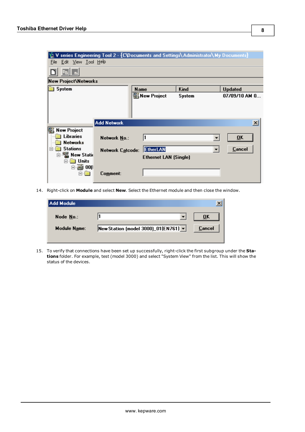| V series Engineering Tool 2 - {C\Documents and Settings\Administrator\My Documents}<br>Edit View Tool Help<br>File                                          |                                         |                                                       |        |                                                                                         |  |  |
|-------------------------------------------------------------------------------------------------------------------------------------------------------------|-----------------------------------------|-------------------------------------------------------|--------|-----------------------------------------------------------------------------------------|--|--|
|                                                                                                                                                             |                                         |                                                       |        |                                                                                         |  |  |
| <b>New Project Metworks</b>                                                                                                                                 |                                         |                                                       |        |                                                                                         |  |  |
| System                                                                                                                                                      |                                         | <b>Name</b>                                           | Kind   | <b>Updated</b>                                                                          |  |  |
|                                                                                                                                                             | <b>Add Network</b>                      | <b>图 New Project</b>                                  | System | 07/09/10 AM 0                                                                           |  |  |
| <b>New Project</b><br><b>Libraries</b><br><b>Networks</b><br><b>Stations</b><br>$\Box$<br>白 · 图 New Statio<br><b>Units</b><br>口<br>$\frac{1}{200}$ 00(<br>F | <b>Network No.:</b><br>Network Catcode: | 11<br><b>EtherLAN</b><br><b>Ethernet LAN (Single)</b> |        | $\overline{\mathbf{x}}$<br>0 <sub>K</sub><br>▼<br><b>Cancel</b><br>$\blacktriangledown$ |  |  |
|                                                                                                                                                             | Comment:                                |                                                       |        |                                                                                         |  |  |

14. Right-click on **Module** and select **New**. Select the Ethernet module and then close the window.

| Add Module          |                                      |        |
|---------------------|--------------------------------------|--------|
| Node No.:           |                                      | ŪΚ     |
| <b>Module Name:</b> | New Station (model 3000)_01(EN761) v | Cancel |
|                     |                                      |        |

15. To verify that connections have been set up successfully, right-click the first subgroup under the **Stations** folder. For example, test (model 3000) and select "System View" from the list. This will show the status of the devices.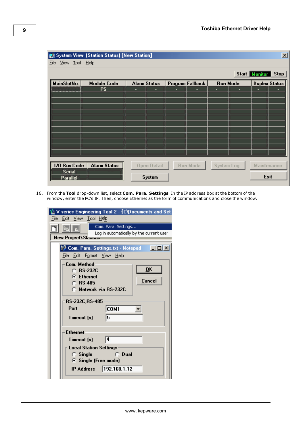| $\vert x \vert$<br><b>By System View (Station Status) [New Station]</b> |                              |                              |                  |                 |                      |  |  |  |
|-------------------------------------------------------------------------|------------------------------|------------------------------|------------------|-----------------|----------------------|--|--|--|
| Eile                                                                    | View Tool Help               |                              |                  |                 |                      |  |  |  |
|                                                                         | Start Monitor<br><b>Stop</b> |                              |                  |                 |                      |  |  |  |
| MainSlotNo.                                                             | <b>Module Code</b>           | <b>Alarm Status</b>          | Program Fallback | <b>Run Mode</b> | <b>Duplex Status</b> |  |  |  |
| ,,,,,,,,,,,,,,,,,,,,,,,,,,,,,,,,                                        | <b>PS</b>                    | ٠<br>٠                       | -                | ٠<br>٠          |                      |  |  |  |
|                                                                         |                              |                              |                  |                 |                      |  |  |  |
|                                                                         |                              |                              |                  |                 |                      |  |  |  |
|                                                                         |                              |                              |                  |                 |                      |  |  |  |
|                                                                         |                              |                              |                  |                 |                      |  |  |  |
|                                                                         |                              |                              |                  |                 |                      |  |  |  |
|                                                                         |                              |                              |                  |                 |                      |  |  |  |
|                                                                         |                              |                              |                  |                 |                      |  |  |  |
|                                                                         |                              |                              |                  |                 |                      |  |  |  |
|                                                                         |                              |                              |                  |                 |                      |  |  |  |
| 1/0 Bus Code<br><b>Serial</b><br>Parallel                               | <b>Alarm Status</b>          | <b>Open Detail</b><br>System | Run Mode         | System Log      | Maintenance<br>Exit  |  |  |  |

16. From the **Tool** drop-down list, select **Com. Para. Settings**. In the IP address box at the bottom of the window, enter the PC's IP. Then, choose Ethernet as the form of communications and close the window.

|      | V series Engineering Tool 2 - [C\Documents and Set.                    |  |  |  |  |
|------|------------------------------------------------------------------------|--|--|--|--|
| File | Edit View Tool Help                                                    |  |  |  |  |
|      | Com. Para. Settings<br>自雪                                              |  |  |  |  |
|      | Log in automatically by the current user<br><b>New Project\Stanons</b> |  |  |  |  |
|      |                                                                        |  |  |  |  |
|      | $\Box$ ol xi<br>Com. Para. Settings.txt - Notepad                      |  |  |  |  |
|      | File Edit Format View Help                                             |  |  |  |  |
|      | Com. Method:                                                           |  |  |  |  |
|      | OK<br>$\cap$ RS-232C                                                   |  |  |  |  |
|      | <b>G</b> Ethernet<br>Cancel<br>$C$ RS-485                              |  |  |  |  |
|      | C. Network via RS-232C                                                 |  |  |  |  |
|      |                                                                        |  |  |  |  |
|      | <b>RS-232C.RS-485</b>                                                  |  |  |  |  |
|      | Port<br>COM1                                                           |  |  |  |  |
|      | 5<br>Timeout [s]                                                       |  |  |  |  |
|      |                                                                        |  |  |  |  |
|      | <b>Ethernet</b>                                                        |  |  |  |  |
|      | 14<br>Timeout [s]                                                      |  |  |  |  |
|      | Local Station Settings                                                 |  |  |  |  |
|      | $C$ Single<br>$C$ Dual                                                 |  |  |  |  |
|      | <b>6</b> Single (Free mode)                                            |  |  |  |  |
|      | 192.168.1.12<br>IP Address                                             |  |  |  |  |
|      |                                                                        |  |  |  |  |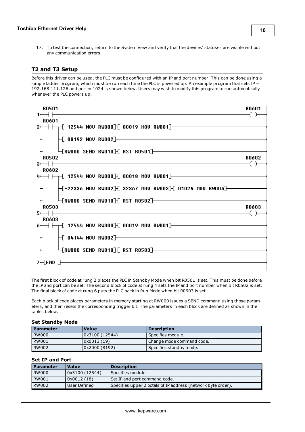17. To test the connection, return to the System View and verify that the devices' statuses are visible without any communication errors.

#### <span id="page-9-0"></span>**T2 and T3 Setup**

Before this driver can be used, the PLC must be configured with an IP and port number. This can be done using a simple ladder program, which must be run each time the PLC is powered up. An example program that sets IP = 192.168.111.126 and port = 1024 is shown below. Users may wish to modify this program to run automatically whenever the PLC powers up.

|    | <b>R0501</b>                                                                                                        | <b>R0601</b> |
|----|---------------------------------------------------------------------------------------------------------------------|--------------|
|    | <b>R0601</b><br>$\dashv \vdash \dashv$ 12544 MOV RWOOO $\mathbb H$ 00019 MOV RWOO1 $\mathbb H$                      |              |
|    | $-$ 08192 MOU RWOO2]——————————                                                                                      |              |
| 31 | <b>R0502</b>                                                                                                        | <b>R0602</b> |
|    | <b>R0602</b>                                                                                                        |              |
|    | $\left\{-22336\,$ MOV RW002 $\right\}$ [ 32367 MOV RW003 $\left\{$ [ 01024 MOV RW004 $\right\}$ ] $\longrightarrow$ |              |
| 51 | $\left\{$ RWOOO SEND RWO10 $\right\}$ [ RST RO502] $\leftarrow$<br><b>RO503</b>                                     | <b>R0603</b> |
| óŀ | <b>R0603</b>                                                                                                        |              |
|    | $\overline{{\color{red}\mathsf{+}}}$ 04144 MOV RW002]————                                                           |              |
|    | $\uparrow$ RWOOO SEND RWO10 $\uparrow$ E RST RO503 $\uparrow$<br>가-[END ]-                                          |              |
|    |                                                                                                                     |              |

The first block of code at rung 2 places the PLC in Standby Mode when bit R0501 is set. This must be done before the IP and port can be set. The second block of code at rung 4 sets the IP and port number when bit R0502 is set. The final block of code at rung 6 puts the PLC back in Run Mode when bit R0603 is set.

Each block of code places parameters in memory starting at RW000 issues a SEND command using those parameters, and then resets the corresponding trigger bit. The parameters in each block are defined as shown in the tables below.

#### **Set Standby Mode**

| l Parameter | Value          | <b>Description</b>        |
|-------------|----------------|---------------------------|
| RW000       | 0x3100 (12544) | l Specifies module.       |
| RW001       | 0x0013(19)     | Change mode command code. |
| RW002       | 0x2000 (8192)  | Specifies standby mode.   |

#### **Set IP and Port**

| l Parameter  | <b>Value</b>   | <b>Description</b>                                           |  |
|--------------|----------------|--------------------------------------------------------------|--|
| RW000        | 0x3100 (12544) | Specifies module.                                            |  |
| <b>RW001</b> | 0x0012(18)     | Set IP and port command code.                                |  |
| RW002        | User Defined   | Specifies upper 2 octals of IP address (network byte order). |  |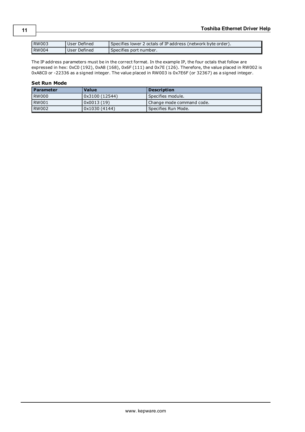| l RW003 | User Defined | Specifies lower 2 octals of IP address (network byte order). |
|---------|--------------|--------------------------------------------------------------|
| l RW004 | User Defined | Specifies port number.                                       |

The IP address parameters must be in the correct format. In the example IP, the four octals that follow are expressed in hex: 0xC0 (192), 0xA8 (168), 0x6F (111) and 0x7E (126). Therefore, the value placed in RW002 is 0xA8C0 or -22336 as a signed integer. The value placed in RW003 is 0x7E6F (or 32367) as a signed integer.

#### **Set Run Mode**

| l Parameter  | <b>Value</b>  | Description               |
|--------------|---------------|---------------------------|
| <b>RW000</b> | 0x3100(12544) | Specifies module.         |
| <b>RW001</b> | 0x0013(19)    | Change mode command code. |
| <b>RW002</b> | 0x1030(4144)  | l Specifies Run Mode.     |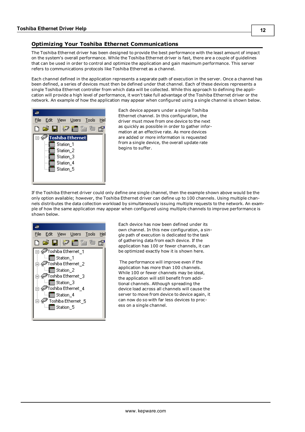### <span id="page-11-0"></span>**Optimizing Your Toshiba Ethernet Communications**

The Toshiba Ethernet driver has been designed to provide the best performance with the least amount of impact on the system's overall performance. While the Toshiba Ethernet driver is fast, there are a couple of guidelines that can be used in order to control and optimize the application and gain maximum performance. This server refers to communications protocols like Toshiba Ethernet as a channel.

Each channel defined in the application represents a separate path of execution in the server. Once a channel has been defined, a series of devices must then be defined under that channel. Each of these devices represents a single Toshiba Ethernet controller from which data will be collected. While this approach to defining the application will provide a high level of performance, it won't take full advantage of the Toshiba Ethernet driver or the network. An example of how the application may appear when configured using a single channel is shown below.



Each device appears under a single Toshiba Ethernet channel. In this configuration, the driver must move from one device to the next as quickly as possible in order to gather information at an effective rate. As more devices are added or more information is requested from a single device, the overall update rate begins to suffer.

If the Toshiba Ethernet driver could only define one single channel, then the example shown above would be the only option available; however, the Toshiba Ethernet driver can define up to 100 channels. Using multiple channels distributes the data collection workload by simultaneously issuing multiple requests to the network. An example of how the same application may appear when configured using multiple channels to improve performance is shown below.

|  |                                                                          |                                                                                                                                                         | <u>File Edit View U</u> sers <u>T</u> ools | Hel |
|--|--------------------------------------------------------------------------|---------------------------------------------------------------------------------------------------------------------------------------------------------|--------------------------------------------|-----|
|  |                                                                          |                                                                                                                                                         | 口声目夕面色色色                                   |     |
|  | <sup></sup> ∭∏∏ Station_1<br><sup></sup> ∭∏ Station_2<br>ं  ∏∏ Station_3 | ⊟- <del>⊗</del> Toshiba Ethernet 1<br>⊟- <del>⊗</del> Toshiba Ethernet 2<br>∃- <mark>⊗P</mark> Toshiba Ethernet_3<br>∃- <del>⊗</del> Toshiba Ethernet 4 |                                            |     |
|  | ं          Station_4<br>ं    ∏∏ Station_5                                | Toshiba Ethernet_5 هڪ                                                                                                                                   |                                            |     |

Each device has now been defined under its own channel. In this new configuration, a single path of execution is dedicated to the task of gathering data from each device. If the application has 100 or fewer channels, it can be optimized exactly how it is shown here.

The performance will improve even if the application has more than 100 channels. While 100 or fewer channels may be ideal, the application will still benefit from additional channels. Although spreading the device load across all channels will cause the server to move from device to device again, it can now do so with far less devices to process on a single channel.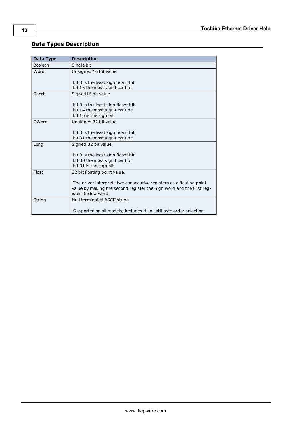## <span id="page-12-0"></span>**Data Types Description**

<span id="page-12-5"></span><span id="page-12-4"></span><span id="page-12-3"></span><span id="page-12-2"></span><span id="page-12-1"></span>

| Data Type    | <b>Description</b>                                                   |
|--------------|----------------------------------------------------------------------|
| Boolean      | Single bit                                                           |
| Word         | Unsigned 16 bit value                                                |
|              | bit 0 is the least significant bit                                   |
|              | bit 15 the most significant bit                                      |
| Short        | Signed16 bit value                                                   |
|              |                                                                      |
|              | bit 0 is the least significant bit                                   |
|              | bit 14 the most significant bit                                      |
|              | bit 15 is the sign bit                                               |
| <b>DWord</b> | Unsigned 32 bit value                                                |
|              |                                                                      |
|              | bit 0 is the least significant bit                                   |
|              | bit 31 the most significant bit                                      |
| Long         | Signed 32 bit value                                                  |
|              | bit 0 is the least significant bit                                   |
|              | bit 30 the most significant bit                                      |
|              | bit 31 is the sign bit                                               |
| Float        | 32 bit floating point value.                                         |
|              |                                                                      |
|              | The driver interprets two consecutive registers as a floating point  |
|              | value by making the second register the high word and the first reg- |
|              | ister the low word.                                                  |
| String       | Null terminated ASCII string                                         |
|              |                                                                      |
|              | Supported on all models, includes HiLo LoHi byte order selection.    |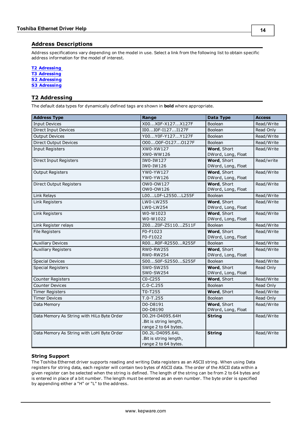<span id="page-13-0"></span>Address specifications vary depending on the model in use. Select a link from the following list to obtain specific address information for the model of interest.

#### **[T2](#page-13-1) [Adressing](#page-13-1)**

**[T3](#page-14-0) [Adressing](#page-14-0)**

- **[S2](#page-15-0) [Adressing](#page-15-0)**
- <span id="page-13-1"></span>**[S3](#page-15-1) [Adressing](#page-15-1)**

#### **T2 Addressing**

The default data types for dynamically defined tags are shown in **bold** where appropriate.

| <b>Address Type</b>                        | Range                  | Data Type          | <b>Access</b> |
|--------------------------------------------|------------------------|--------------------|---------------|
| <b>Input Devices</b>                       | X00X0F-X127X127F       | <b>Boolean</b>     | Read/Write    |
| <b>Direct Input Devices</b>                | I00I0F-I127I127F       | <b>Boolean</b>     | Read Only     |
| <b>Output Devices</b>                      | Y00Y0F-Y127Y127F       | <b>Boolean</b>     | Read/Write    |
| <b>Direct Output Devices</b>               | 00000F-01270127F       | <b>Boolean</b>     | Read/Write    |
| <b>Input Registers</b>                     | XW0-XW127              | Word, Short        | Read/Write    |
|                                            | XW0-WW126              | DWord, Long, Float |               |
| Direct Input Registers                     | IW0-IW127              | Word, Short        | Read/write    |
|                                            | IW0-IW126              | DWord, Long, Float |               |
| <b>Output Registers</b>                    | YW0-YW127              | Word, Short        | Read/Write    |
|                                            | YW0-YW126              | DWord, Long, Float |               |
| Direct Output Registers                    | OW0-OW127              | Word, Short        | Read/Write    |
|                                            | OW0-OW126              | DWord, Long, Float |               |
| Link Relays                                | L00L0F-L2550L255F      | Boolean            | Read/Write    |
| Link Registers                             | LW0-LW255              | Word, Short        | Read/Write    |
|                                            | LW0-LW254              | DWord, Long, Float |               |
| <b>Link Registers</b>                      | W0-W1023               | Word, Short        | Read/Write    |
|                                            | W0-W1022               | DWord, Long, Float |               |
| Link Register relays                       | Z00Z0F-Z5110Z511F      | Boolean            | Read/Write    |
| <b>File Registers</b>                      | F0-F1023               | Word, Short        | Read/Write    |
|                                            | F0-F1022               | DWord, Long, Float |               |
| <b>Auxiliary Devices</b>                   | R00R0F-R2550R255F      | Boolean            | Read/Write    |
| <b>Auxiliary Registers</b>                 | RW0-RW255              | Word, Short        | Read/Write    |
|                                            | RW0-RW254              | DWord, Long, Float |               |
| <b>Special Devices</b>                     | S00S0F-S2550S255F      | Boolean            | Read/Write    |
| <b>Special Registers</b>                   | SW0-SW255              | Word, Short        | Read Only     |
|                                            | SW0-SW254              | DWord, Long, Float |               |
| Counter Registers                          | $CO-C255$              | Word, Short        | Read/Write    |
| <b>Counter Devices</b>                     | $C.0 - C.255$          | Boolean            | Read Only     |
| <b>Timer Registers</b>                     | T0-T255                | Word, Short        | Read/Write    |
| <b>Timer Devices</b>                       | $T.0-T.255$            | Boolean            | Read Only     |
| Data Memory                                | D0-D8191               | Word, Short        | Read/Write    |
|                                            | D0-D8190               | DWord, Long, Float |               |
| Data Memory As String with HiLo Byte Order | D0.2H-D4095.64H        | <b>String</b>      | Read/Write    |
|                                            | .Bit is string length, |                    |               |
|                                            | range 2 to 64 bytes.   |                    |               |
| Data Memory As String with LoHi Byte Order | D0.2L-D4095.64L        | <b>String</b>      | Read/Write    |
|                                            | .Bit is string length, |                    |               |
|                                            | range 2 to 64 bytes.   |                    |               |

#### **String Support**

The Toshiba Ethernet driver supports reading and writing Data registers as an ASCII string. When using Data registers for string data, each register will contain two bytes of ASCII data. The order of the ASCII data within a given register can be selected when the string is defined. The length of the string can be from 2 to 64 bytes and is entered in place of a bit number. The length must be entered as an even number. The byte order is specified by appending either a "H" or "L" to the address.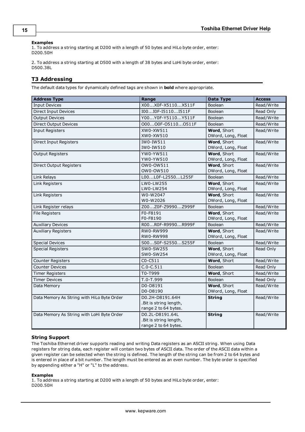#### **Examples**

1. To address a string starting at D200 with a length of 50 bytes and HiLo byte order, enter: D200.50H

2. To address a string starting at D500 with a length of 38 bytes and LoHi byte order, enter: D500.38L

#### <span id="page-14-0"></span>**T3 Addressing**

The default data types for dynamically defined tags are shown in **bold** where appropriate.

| <b>Address Type</b>                        | Range                                                             | <b>Data Type</b>                  | <b>Access</b> |
|--------------------------------------------|-------------------------------------------------------------------|-----------------------------------|---------------|
| <b>Input Devices</b>                       | X00X0F-X5110X511F                                                 | Boolean                           | Read/Write    |
| <b>Direct Input Devices</b>                | I00I0F-I5110I511F                                                 | Boolean                           | Read Only     |
| <b>Output Devices</b>                      | Y00Y0F-Y5110Y511F                                                 | <b>Boolean</b>                    | Read/Write    |
| <b>Direct Output Devices</b>               | 00000F-051100511F                                                 | Boolean                           | Read/Write    |
| <b>Input Registers</b>                     | XW0-XW511                                                         | Word, Short                       | Read/Write    |
|                                            | XW0-XW510                                                         | DWord, Long, Float                |               |
| Direct Input Registers                     | IW0-IW511<br>IW0-IW510                                            | Word, Short<br>DWord, Long, Float | Read/Write    |
| <b>Output Registers</b>                    | YW0-YW511<br>YW0-YW510                                            | Word, Short<br>DWord, Long, Float | Read/Write    |
| Direct Output Registers                    | OW0-OW511                                                         | Word, Short                       | Read/Write    |
|                                            | OW0-OW510                                                         | DWord, Long, Float                |               |
| Link Relays                                | L00L0F-L2550L255F                                                 | Boolean                           | Read/Write    |
| Link Registers                             | LW0-LW255<br>LW0-LW254                                            | Word, Short<br>DWord, Long, Float | Read/Write    |
| Link Registers                             | W0-W2047<br>W0-W2026                                              | Word, Short<br>DWord, Long, Float | Read/Write    |
| Link Register relays                       | Z00Z0F-Z9990Z999F                                                 | Boolean                           | Read/Write    |
| <b>File Registers</b>                      | F0-F8191<br>F0-F8190                                              | Word, Short<br>DWord, Long, Float | Read/Write    |
| <b>Auxiliary Devices</b>                   | R00R0F-R9990R999F                                                 | Boolean                           | Read/Write    |
| <b>Auxiliary Registers</b>                 | RW0-RW999<br><b>RW0-RW998</b>                                     | Word, Short<br>DWord, Long, Float | Read/Write    |
| <b>Special Devices</b>                     | S00S0F-S2550S255F                                                 | Boolean                           | Read/Write    |
| <b>Special Registers</b>                   | SW0-SW255<br>SW0-SW254                                            | Word, Short<br>DWord, Long, Float | Read Only     |
| Counter Registers                          | $CO - C511$                                                       | Word, Short                       | Read/Write    |
| <b>Counter Devices</b>                     | $C.0 - C.511$                                                     | <b>Boolean</b>                    | Read Only     |
| <b>Timer Registers</b>                     | T0-T999                                                           | Word, Short                       | Read/Write    |
| <b>Timer Devices</b>                       | T.0-T.999                                                         | Boolean                           | Read Only     |
| Data Memory                                | D0-D8191<br>D0-D8190                                              | Word, Short<br>DWord, Long, Float | Read/Write    |
| Data Memory As String with HiLo Byte Order | D0.2H-D8191.64H<br>.Bit is string length,<br>range 2 to 64 bytes. | <b>String</b>                     | Read/Write    |
| Data Memory As String with LoHi Byte Order | D0.2L-D8191.64L<br>.Bit is string length,<br>range 2 to 64 bytes. | <b>String</b>                     | Read/Write    |

#### **String Support**

The Toshiba Ethernet driver supports reading and writing Data registers as an ASCII string. When using Data registers for string data, each register will contain two bytes of ASCII data. The order of the ASCII data within a given register can be selected when the string is defined. The length of the string can be from 2 to 64 bytes and is entered in place of a bit number. The length must be entered as an even number. The byte order is specified by appending either a "H" or "L" to the address.

#### **Examples**

1. To address a string starting at D200 with a length of 50 bytes and HiLo byte order, enter: D200.50H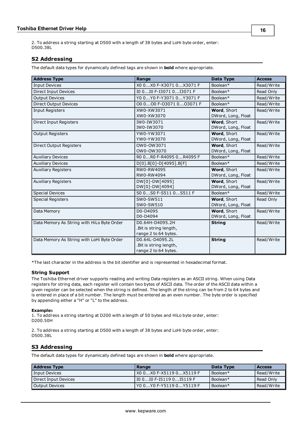2. To address a string starting at D500 with a length of 38 bytes and LoHi byte order, enter: D500.38L

#### <span id="page-15-0"></span>**S2 Addressing**

The default data types for dynamically defined tags are shown in **bold** where appropriate.

| <b>Address Type</b>                        | Range                     | Data Type          | <b>Access</b> |
|--------------------------------------------|---------------------------|--------------------|---------------|
| <b>Input Devices</b>                       | X00X0F-X30710X3071F       | Boolean*           | Read/Write    |
| Direct Input Devices                       | IO 0 IO F-I3071 0 I3071 F | Boolean*           | Read Only     |
| <b>Output Devices</b>                      | Y00Y0F-Y30710Y3071F       | Boolean*           | Read/Write    |
| <b>Direct Output Devices</b>               | 00 000 F-03071 003071 F   | Boolean*           | Read/Write    |
| Input Registers                            | XW0-XW3071                | Word, Short        | Read/Write    |
|                                            | XW0-XW3070                | DWord, Long, Float |               |
| Direct Input Registers                     | IW0-IW3071                | Word, Short        | Read/Write    |
|                                            | IW0-IW3070                | DWord, Long, Float |               |
| <b>Output Registers</b>                    | YW0-YW3071                | Word, Short        | Read/Write    |
|                                            | YW0-YW3070                | DWord, Long, Float |               |
| Direct Output Registers                    | OW0-OW3071                | Word, Short        | Read/Write    |
|                                            | OW0-OW3070                | DWord, Long, Float |               |
| <b>Auxiliary Devices</b>                   | R0 0R0 F-R4095 0R4095 F   | Boolean*           | Read/Write    |
| <b>Auxiliary Devices</b>                   | $D[0].B[0]-D[4095].B[F]$  | Boolean*           | Read/Write    |
| <b>Auxiliary Registers</b>                 | RW0-RW4095                | Word, Short        | Read/Write    |
|                                            | RW0-RW4094                | DWord, Long, Float |               |
| <b>Auxiliary Registers</b>                 | DW[0]-DW[4095]            | Word, Short        | Read/Write    |
|                                            | DW[0]-DW[4094]            | DWord, Long, Float |               |
| <b>Special Devices</b>                     | S00S0F-S5110S511F         | Boolean*           | Read/Write    |
| <b>Special Registers</b>                   | SW0-SW511                 | Word, Short        | Read Only     |
|                                            | SW0-SW510                 | DWord, Long, Float |               |
| Data Memory                                | D0-D4095                  | Word, Short        | Read/Write    |
|                                            | D0-D4094                  | DWord, Long, Float |               |
| Data Memory As String with HiLo Byte Order | D0.64H-D4095.2H           | <b>String</b>      | Read/Write    |
|                                            | .Bit is string length,    |                    |               |
|                                            | range 2 to 64 bytes.      |                    |               |
| Data Memory As String with LoHi Byte Order | D0.64L-D4095.2L           | <b>String</b>      | Read/Write    |
|                                            | . Bit is string length,   |                    |               |
|                                            | range 2 to 64 bytes.      |                    |               |

\*The last character in the address is the bit identifier and is represented in hexadecimal format.

#### **String Support**

The Toshiba Ethernet driver supports reading and writing Data registers as an ASCII string. When using Data registers for string data, each register will contain two bytes of ASCII data. The order of the ASCII data within a given register can be selected when the string is defined. The length of the string can be from 2 to 64 bytes and is entered in place of a bit number. The length must be entered as an even number. The byte order is specified by appending either a "H" or "L" to the address.

#### **Example**s

1. To address a string starting at D200 with a length of 50 bytes and HiLo byte order, enter: D200.50H

2. To address a string starting at D500 with a length of 38 bytes and LoHi byte order, enter: D500.38L

#### <span id="page-15-1"></span>**S3 Addressing**

The default data types for dynamically defined tags are shown in **bold** where appropriate.

| <b>Address Type</b>  | Range                         | Data Type | <b>Access</b> |
|----------------------|-------------------------------|-----------|---------------|
| Input Devices        | l X0  0X0  F-X5119  0X5119  F | Boolean*  | Read/Write    |
| Direct Input Devices | l I0  0I0  F-I5119  0I5119  F | Boolean*  | Read Only     |
| Output Devices       | l Y0  0Y0  F-Y5119  0Y5119  F | Boolean*  | Read/Write    |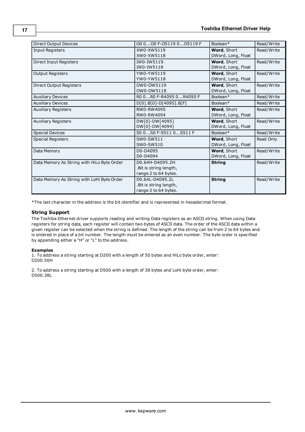| Direct Output Devices                      | 00 000 F-05119 005119 F  | Boolean*           | Read/Write |
|--------------------------------------------|--------------------------|--------------------|------------|
| Input Registers                            | XW0-XW5119               | Word, Short        | Read/Write |
|                                            | XW0-XW5118               | DWord, Long, Float |            |
| Direct Input Registers                     | IW0-IW5119               | Word, Short        | Read/Write |
|                                            | IW0-IW5118               | DWord, Long, Float |            |
| <b>Output Registers</b>                    | YW0-YW5119               | <b>Word, Short</b> | Read/Write |
|                                            | YW0-YW5118               | DWord, Long, Float |            |
| Direct Output Registers                    | OW0-OW5119               | Word, Short        | Read/Write |
|                                            | OW0-OW5118               | DWord, Long, Float |            |
| <b>Auxiliary Devices</b>                   | R0 0R0 F-R4095 0R4095 F  | Boolean*           | Read/Write |
| <b>Auxiliary Devices</b>                   | $D[0].B[0]-D[4095].B[F]$ | Boolean*           | Read/Write |
| <b>Auxiliary Registers</b>                 | RW0-RW4095               | Word, Short        | Read/Write |
|                                            | RW0-RW4094               | DWord, Long, Float |            |
| <b>Auxiliary Registers</b>                 | DW[0]-DW[4095]           | Word, Short        | Read/Write |
|                                            | DW[0]-DW[4094]           | DWord, Long, Float |            |
| <b>Special Devices</b>                     | S00S0F-S5110S511F        | Boolean*           | Read/Write |
| <b>Special Registers</b>                   | SW0-SW511                | Word, Short        | Read Only  |
|                                            | SW0-SW510                | DWord, Long, Float |            |
| Data Memory                                | D0-D4095                 | Word, Short        | Read/Write |
|                                            | D0-D4094                 | DWord, Long, Float |            |
| Data Memory As String with HiLo Byte Order | D0.64H-D4095.2H          | <b>String</b>      | Read/Write |
|                                            | . Bit is string length,  |                    |            |
|                                            | range 2 to 64 bytes.     |                    |            |
| Data Memory As String with LoHi Byte Order | D0.64L-D4095.2L          | <b>String</b>      | Read/Write |
|                                            | . Bit is string length,  |                    |            |
|                                            | range 2 to 64 bytes.     |                    |            |

\*The last character in the address is the bit identifier and is represented in hexadecimal format.

#### **String Support**

The Toshiba Ethernet driver supports reading and writing Data registers as an ASCII string. When using Data registers for string data, each register will contain two bytes of ASCII data. The order of the ASCII data within a given register can be selected when the string is defined. The length of the string can be from 2 to 64 bytes and is entered in place of a bit number. The length must be entered as an even number. The byte order is specified by appending either a "H" or "L" to the address.

#### **Examples**

1. To address a string starting at D200 with a length of 50 bytes and HiLo byte order, enter: D200.50H

2. To address a string starting at D500 with a length of 38 bytes and LoHi byte order, enter: D500.38L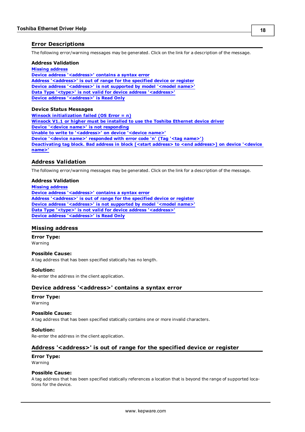#### <span id="page-17-0"></span>**Error Descriptions**

The following error/warning messages may be generated. Click on the link for a description of the message.

#### **Address Validation**

**[Missing](#page-17-2) [address](#page-17-2) [Device](#page-17-3) [address](#page-17-3) ['<address>'](#page-17-3) [contains](#page-17-3) [a](#page-17-3) [syntax](#page-17-3) [error](#page-17-3) [Address](#page-17-4) ['<address>'](#page-17-4) [is](#page-17-4) [out](#page-17-4) [of](#page-17-4) [range](#page-17-4) [for](#page-17-4) [the](#page-17-4) [specified](#page-17-4) [device](#page-17-4) [or](#page-17-4) [register](#page-17-4) [Device](#page-18-0) [address](#page-18-0) ['<address>'](#page-18-0) [is](#page-18-0) [not](#page-18-0) [supported](#page-18-0) [by](#page-18-0) [model](#page-18-0) ['<model](#page-18-0) [name>'](#page-18-0) [Data](#page-18-1) [Type](#page-18-1) ['<type>'](#page-18-1) [is](#page-18-1) [not](#page-18-1) [valid](#page-18-1) [for](#page-18-1) [device](#page-18-1) [address](#page-18-1) ['<address>'](#page-18-1) [Device](#page-18-2) [address](#page-18-2) ['<address>'](#page-18-2) [is](#page-18-2) [Read](#page-18-2) [Only](#page-18-2)** 

#### **Device Status Messages**

**[Winsock](#page-18-4) [initialization](#page-18-4) [failed](#page-18-4) [\(OS](#page-18-4) [Error](#page-18-4) [=](#page-18-4) [n\)](#page-18-4) [Winsock](#page-19-0) [V1.1](#page-19-0) [or](#page-19-0) [higher](#page-19-0) [must](#page-19-0) [be](#page-19-0) [installed](#page-19-0) [to](#page-19-0) [use](#page-19-0) [the](#page-19-0) [Toshiba](#page-19-0) [Ethernet](#page-19-0) [device](#page-19-0) [driver](#page-19-0) [Device](#page-19-1) ['<device](#page-19-1) [name>'](#page-19-1) [is](#page-19-1) [not](#page-19-1) [responding](#page-19-1) [Unable](#page-19-2) [to](#page-19-2) [write](#page-19-2) [to](#page-19-2) ['<address>'](#page-19-2) [on](#page-19-2) [device](#page-19-2) ['<device](#page-19-2) [name>'](#page-19-2) [Device](#page-19-3) ['<device](#page-19-3) [name>'](#page-19-3) [responded](#page-19-3) [with](#page-19-3) [error](#page-19-3) [code](#page-19-3) ['n'](#page-19-3) [\(Tag](#page-19-3) ['<tag](#page-19-3) [name>'\)](#page-19-3) [Deactivating](#page-19-4) [tag](#page-19-4) [block.](#page-19-4) [Bad](#page-19-4) [address](#page-19-4) [in](#page-19-4) [block](#page-19-4) [\[<start](#page-19-4) [address>](#page-19-4) [to](#page-19-4) [<end](#page-19-4) [address>\]](#page-19-4) [on](#page-19-4) [device](#page-19-4) ['<device](#page-19-4) [name>'](#page-19-4)**

#### <span id="page-17-1"></span>**Address Validation**

The following error/warning messages may be generated. Click on the link for a description of the message.

#### **Address Validation**

**[Missing](#page-17-2) [address](#page-17-2) [Device](#page-17-3) [address](#page-17-3) ['<address>'](#page-17-3) [contains](#page-17-3) [a](#page-17-3) [syntax](#page-17-3) [error](#page-17-3) [Address](#page-17-4) ['<address>'](#page-17-4) [is](#page-17-4) [out](#page-17-4) [of](#page-17-4) [range](#page-17-4) [for](#page-17-4) [the](#page-17-4) [specified](#page-17-4) [device](#page-17-4) [or](#page-17-4) [register](#page-17-4) [Device](#page-18-0) [address](#page-18-0) ['<address>'](#page-18-0) [is](#page-18-0) [not](#page-18-0) [supported](#page-18-0) [by](#page-18-0) [model](#page-18-0) ['<model](#page-18-0) [name>'](#page-18-0) [Data](#page-18-1) [Type](#page-18-1) ['<type>'](#page-18-1) [is](#page-18-1) [not](#page-18-1) [valid](#page-18-1) [for](#page-18-1) [device](#page-18-1) [address](#page-18-1) ['<address>'](#page-18-1) [Device](#page-18-2) [address](#page-18-2) ['<address>'](#page-18-2) [is](#page-18-2) [Read](#page-18-2) [Only](#page-18-2)** 

#### <span id="page-17-2"></span>**Missing address**

**Error Type:**

Warning

#### **Possible Cause:**

A tag address that has been specified statically has no length.

#### **Solution:**

<span id="page-17-3"></span>Re-enter the address in the client application.

#### Device address '<address>' contains a syntax error

## **Error Type:**

Warning

#### **Possible Cause:**

A tag address that has been specified statically contains one or more invalid characters.

#### **Solution:**

<span id="page-17-4"></span>Re-enter the address in the client application.

#### **Address '<address>' is out of range for the specified device or register**

#### **Error Type:** Warning

#### **Possible Cause:**

A tag address that has been specified statically references a location that is beyond the range of supported locations for the device.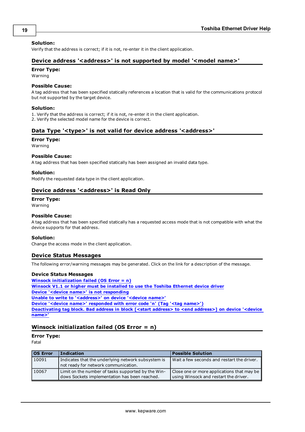#### **Solution:**

<span id="page-18-0"></span>Verify that the address is correct; if it is not, re-enter it in the client application.

#### Device address '<address>' is not supported by model '<model name>'

#### **Error Type:**

Warning

#### **Possible Cause:**

A tag address that has been specified statically references a location that is valid for the communications protocol but not supported by the target device.

#### **Solution:**

1. Verify that the address is correct; if it is not, re-enter it in the client application.

<span id="page-18-1"></span>2. Verify the selected model name for the device is correct.

#### Data Type '<type>' is not valid for device address '<address>'

#### **Error Type:**

Warning

#### **Possible Cause:**

A tag address that has been specified statically has been assigned an invalid data type.

#### **Solution:**

<span id="page-18-2"></span>Modify the requested data type in the client application.

#### Device address '<address>' is Read Only

#### **Error Type:**

Warning

#### **Possible Cause:**

A tag address that has been specified statically has a requested access mode that is not compatible with what the device supports for that address.

#### **Solution:**

<span id="page-18-3"></span>Change the access mode in the client application.

#### **Device Status Messages**

The following error/warning messages may be generated. Click on the link for a description of the message.

#### **Device Status Messages**

**[Winsock](#page-18-4) [initialization](#page-18-4) [failed](#page-18-4) [\(OS](#page-18-4) [Error](#page-18-4) [=](#page-18-4) [n\)](#page-18-4) [Winsock](#page-19-0) [V1.1](#page-19-0) [or](#page-19-0) [higher](#page-19-0) [must](#page-19-0) [be](#page-19-0) [installed](#page-19-0) [to](#page-19-0) [use](#page-19-0) [the](#page-19-0) [Toshiba](#page-19-0) [Ethernet](#page-19-0) [device](#page-19-0) [driver](#page-19-0) [Device](#page-19-1) ['<device](#page-19-1) [name>'](#page-19-1) [is](#page-19-1) [not](#page-19-1) [responding](#page-19-1) [Unable](#page-19-2) [to](#page-19-2) [write](#page-19-2) [to](#page-19-2) ['<address>'](#page-19-2) [on](#page-19-2) [device](#page-19-2) ['<device](#page-19-2) [name>'](#page-19-2) [Device](#page-19-3) ['<device](#page-19-3) [name>'](#page-19-3) [responded](#page-19-3) [with](#page-19-3) [error](#page-19-3) [code](#page-19-3) ['n'](#page-19-3) [\(Tag](#page-19-3) ['<tag](#page-19-3) [name>'\)](#page-19-3) [Deactivating](#page-19-4) [tag](#page-19-4) [block.](#page-19-4) [Bad](#page-19-4) [address](#page-19-4) [in](#page-19-4) [block](#page-19-4) [\[<start](#page-19-4) [address>](#page-19-4) [to](#page-19-4) [<end](#page-19-4) [address>\]](#page-19-4) [on](#page-19-4) [device](#page-19-4) ['<device](#page-19-4) [name>'](#page-19-4)**

#### <span id="page-18-4"></span>**Winsock initialization failed (OS Error = n)**

**Error Type:**

Fatal

| <b>OS Error</b> | <b>Indication</b>                                                                                   | <b>Possible Solution</b>                                                            |
|-----------------|-----------------------------------------------------------------------------------------------------|-------------------------------------------------------------------------------------|
| 10091           | Indicates that the underlying network subsystem is<br>not ready for network communication.          | Wait a few seconds and restart the driver.                                          |
| 10067           | Limit on the number of tasks supported by the Win-<br>dows Sockets implementation has been reached. | Close one or more applications that may be<br>using Winsock and restart the driver. |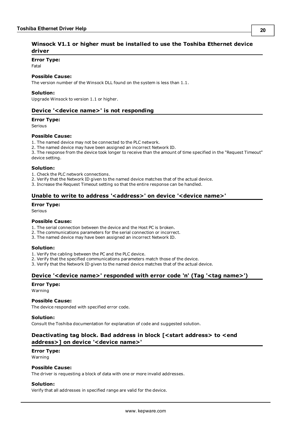#### <span id="page-19-0"></span>**Error Type:**

Fatal

#### **Possible Cause:**

The version number of the Winsock DLL found on the system is less than 1.1.

#### **Solution:**

<span id="page-19-1"></span>Upgrade Winsock to version 1.1 or higher.

#### **Device '<device name>' is not responding**

#### **Error Type:**

Serious

#### **Possible Cause:**

1. The named device may not be connected to the PLC network.

2. The named device may have been assigned an incorrect Network ID.

3. The response from the device took longer to receive than the amount of time specified in the "Request Timeout" device setting.

#### **Solution:**

1. Check the PLC network connections.

2. Verify that the Network ID given to the named device matches that of the actual device.

<span id="page-19-2"></span>3. Increase the Request Timeout setting so that the entire response can be handled.

#### Unable to write to address '<address>' on device '<device name>'

#### **Error Type:**

Serious

#### **Possible Cause:**

- 1. The serial connection between the device and the Host PC is broken.
- 2. The communications parameters for the serial connection or incorrect.
- 3. The named device may have been assigned an incorrect Network ID.

#### **Solution:**

1. Verify the cabling between the PC and the PLC device.

- 2. Verify that the specified communications parameters match those of the device.
- <span id="page-19-3"></span>3. Verify that the Network ID given to the named device matches that of the actual device.

#### **Device '<device name>' responded with error code 'n' (Tag '<tag name>')**

#### **Error Type:**

Warning

#### **Possible Cause:**

The device responded with specified error code.

#### **Solution:**

<span id="page-19-4"></span>Consult the Toshiba documentation for explanation of code and suggested solution.

#### **Deactivating tag block. Bad address in block [<start address> to <end address>] on device '<device name>'**

#### **Error Type:**

Warning

#### **Possible Cause:**

The driver is requesting a block of data with one or more invalid addresses.

#### **Solution:**

Verify that all addresses in specified range are valid for the device.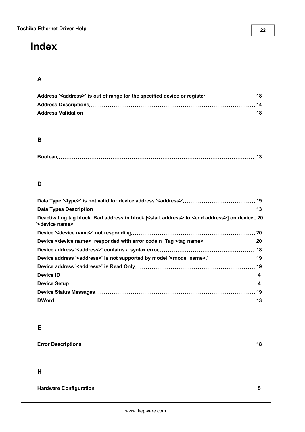## <span id="page-21-0"></span>**Index**

## **A**

## **B**

|--|--|

## **D**

| Deactivating tag block. Bad address in block [ <start address=""> to <end address="">] on device 20</end></start> |  |
|-------------------------------------------------------------------------------------------------------------------|--|
|                                                                                                                   |  |
|                                                                                                                   |  |
|                                                                                                                   |  |
| Device address ' <address>' is not supported by model '<model name="">.' 19</model></address>                     |  |
|                                                                                                                   |  |
|                                                                                                                   |  |
|                                                                                                                   |  |
|                                                                                                                   |  |
|                                                                                                                   |  |

## **E**

|--|

## **H**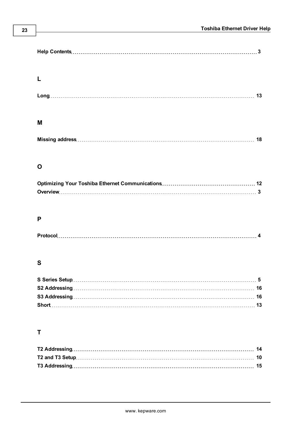## **M**

## **O**

## **P**

| <b>Protoc</b> |  |
|---------------|--|
|---------------|--|

## **S**

## **T**